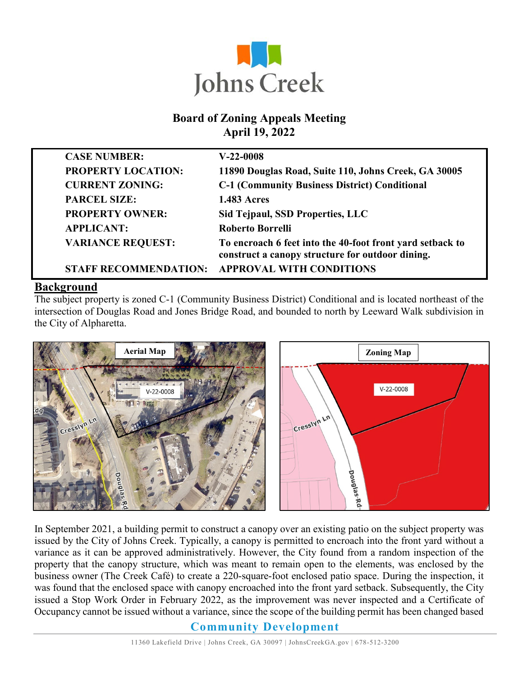

### **Board of Zoning Appeals Meeting April 19, 2022**

| <b>CASE NUMBER:</b>          | $V-22-0008$                                                                                                   |
|------------------------------|---------------------------------------------------------------------------------------------------------------|
| <b>PROPERTY LOCATION:</b>    | 11890 Douglas Road, Suite 110, Johns Creek, GA 30005                                                          |
| <b>CURRENT ZONING:</b>       | <b>C-1 (Community Business District) Conditional</b>                                                          |
| <b>PARCEL SIZE:</b>          | <b>1.483 Acres</b>                                                                                            |
| <b>PROPERTY OWNER:</b>       | Sid Tejpaul, SSD Properties, LLC                                                                              |
| <b>APPLICANT:</b>            | <b>Roberto Borrelli</b>                                                                                       |
| <b>VARIANCE REQUEST:</b>     | To encroach 6 feet into the 40-foot front yard setback to<br>construct a canopy structure for outdoor dining. |
| <b>STAFF RECOMMENDATION:</b> | <b>APPROVAL WITH CONDITIONS</b>                                                                               |

#### **Background**

The subject property is zoned C-1 (Community Business District) Conditional and is located northeast of the intersection of Douglas Road and Jones Bridge Road, and bounded to north by Leeward Walk subdivision in the City of Alpharetta.



In September 2021, a building permit to construct a canopy over an existing patio on the subject property was issued by the City of Johns Creek. Typically, a canopy is permitted to encroach into the front yard without a variance as it can be approved administratively. However, the City found from a random inspection of the property that the canopy structure, which was meant to remain open to the elements, was enclosed by the business owner (The Creek Café) to create a 220-square-foot enclosed patio space. During the inspection, it was found that the enclosed space with canopy encroached into the front yard setback. Subsequently, the City issued a Stop Work Order in February 2022, as the improvement was never inspected and a Certificate of Occupancy cannot be issued without a variance, since the scope of the building permit has been changed based

#### **Community Development**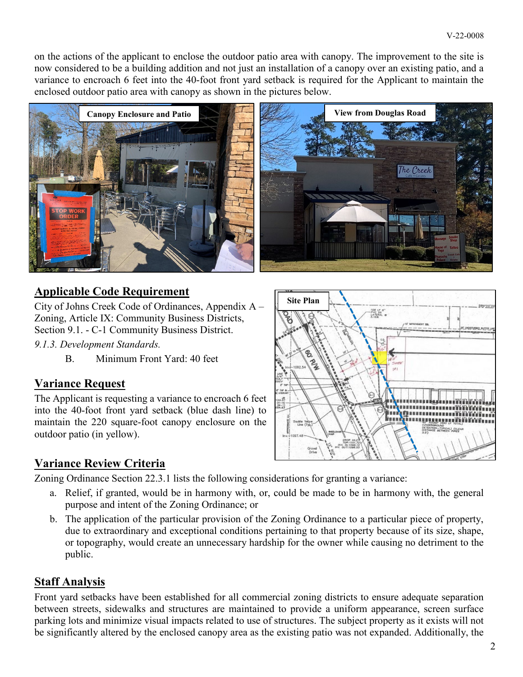on the actions of the applicant to enclose the outdoor patio area with canopy. The improvement to the site is now considered to be a building addition and not just an installation of a canopy over an existing patio, and a variance to encroach 6 feet into the 40-foot front yard setback is required for the Applicant to maintain the enclosed outdoor patio area with canopy as shown in the pictures below.



## **Applicable Code Requirement**

City of Johns Creek Code of Ordinances, Appendix A – Zoning, Article IX: Community Business Districts, Section 9.1. - C-1 Community Business District.

*9.1.3. Development Standards.*

B. Minimum Front Yard: 40 feet

### **Variance Request**

The Applicant is requesting a variance to encroach 6 feet into the 40-foot front yard setback (blue dash line) to maintain the 220 square-foot canopy enclosure on the outdoor patio (in yellow).

### **Variance Review Criteria**

Zoning Ordinance Section 22.3.1 lists the following considerations for granting a variance:

- a. Relief, if granted, would be in harmony with, or, could be made to be in harmony with, the general purpose and intent of the Zoning Ordinance; or
- b. The application of the particular provision of the Zoning Ordinance to a particular piece of property, due to extraordinary and exceptional conditions pertaining to that property because of its size, shape, or topography, would create an unnecessary hardship for the owner while causing no detriment to the public.

### **Staff Analysis**

Front yard setbacks have been established for all commercial zoning districts to ensure adequate separation between streets, sidewalks and structures are maintained to provide a uniform appearance, screen surface parking lots and minimize visual impacts related to use of structures. The subject property as it exists will not be significantly altered by the enclosed canopy area as the existing patio was not expanded. Additionally, the